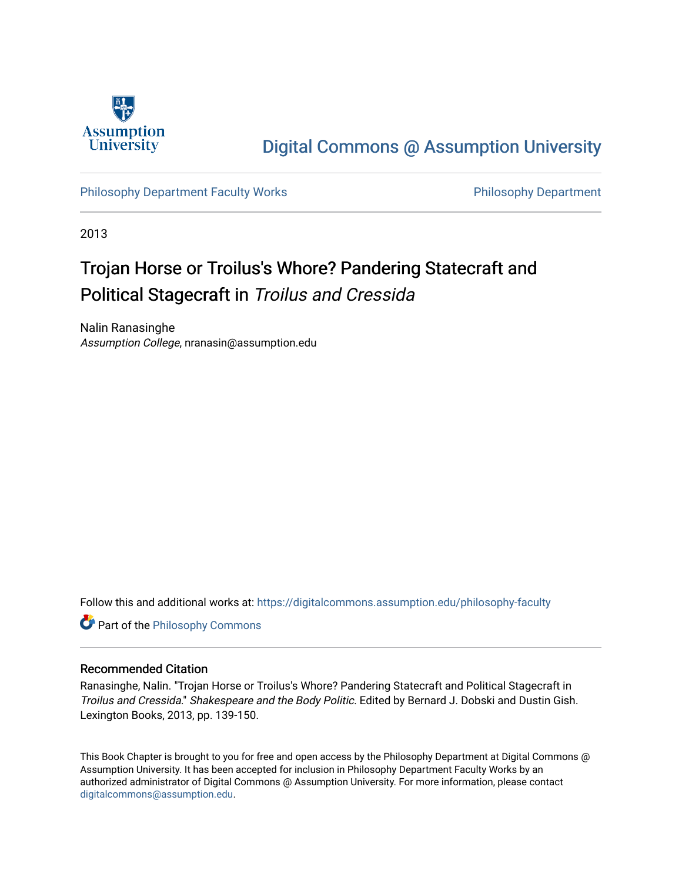

# [Digital Commons @ Assumption University](https://digitalcommons.assumption.edu/)

[Philosophy Department Faculty Works](https://digitalcommons.assumption.edu/philosophy-faculty) **Philosophy Department** Philosophy Department

2013

# Trojan Horse or Troilus's Whore? Pandering Statecraft and Political Stagecraft in Troilus and Cressida

Nalin Ranasinghe Assumption College, nranasin@assumption.edu

Follow this and additional works at: [https://digitalcommons.assumption.edu/philosophy-faculty](https://digitalcommons.assumption.edu/philosophy-faculty?utm_source=digitalcommons.assumption.edu%2Fphilosophy-faculty%2F5&utm_medium=PDF&utm_campaign=PDFCoverPages) 

**Part of the Philosophy Commons** 

### Recommended Citation

Ranasinghe, Nalin. "Trojan Horse or Troilus's Whore? Pandering Statecraft and Political Stagecraft in Troilus and Cressida." Shakespeare and the Body Politic. Edited by Bernard J. Dobski and Dustin Gish. Lexington Books, 2013, pp. 139-150.

This Book Chapter is brought to you for free and open access by the Philosophy Department at Digital Commons @ Assumption University. It has been accepted for inclusion in Philosophy Department Faculty Works by an authorized administrator of Digital Commons @ Assumption University. For more information, please contact [digitalcommons@assumption.edu](mailto:digitalcommons@assumption.edu).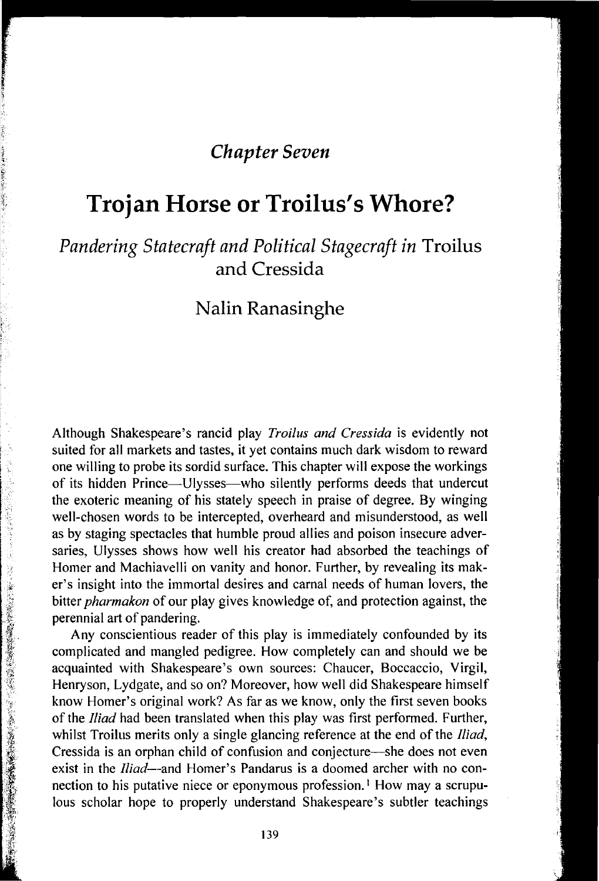### *Chapter Seven*

# **Trojan Horse or Troilus's Whore?**

## *Pandering Statecraft and Political Stagecraft in* Troilus and Cressida

### Nalin Ranasinghe

Although Shakespeare's rancid play *Troilus and Cressida* is evidently not suited for all markets and tastes, it yet contains much dark wisdom to reward one willing to probe its sordid surface. This chapter will expose the workings of its hidden Prince—Ulysses—who silently performs deeds that undercut the exoteric meaning of his stately speech in praise of degree. By winging well-chosen words to be intercepted, overheard and misunderstood, as well as by staging spectacles that humble proud allies and poison insecure adversaries, Ulysses shows how well his creator had absorbed the teachings of Homer and Machiavelli on vanity and honor. Further, by revealing its maker's insight into the immortal desires and carnal needs of human lovers, the bitter *pharmakon* of our play gives knowledge of, and protection against, the perennial art of pandering.

 $\frac{\partial V}{\partial x}$ 

Any conscientious reader of this play is immediately confounded by its complicated and mangled pedigree. How completely can and should we be acquainted with Shakespeare's own sources: Chaucer, Boccaccio, Virgil, Henryson, Lydgate, and so on? Moreover, how well did Shakespeare himself know Homer's original work? As far as we know, only the first seven books of the *Iliad* had been translated when this play was first performed. Further, whilst Troilus merits only a single glancing reference at the end of the *Iliad,*  Cressida is an orphan child of confusion and conjecture—she does not even exist in the *Iliad*—and Homer's Pandarus is a doomed archer with no connection to his putative niece or eponymous profession.<sup>1</sup> How may a scrupulous scholar hope to properly understand Shakespeare's subtler teachings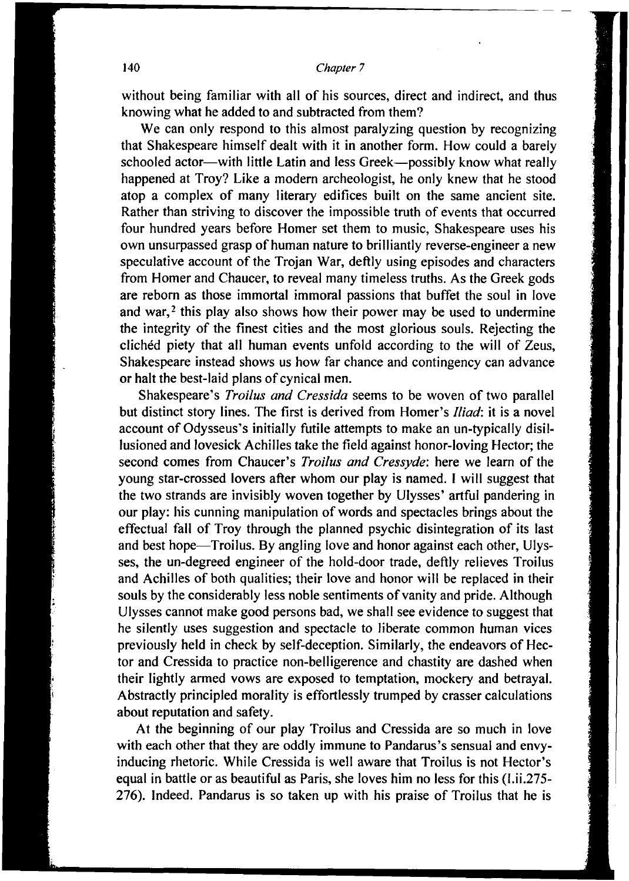without being familiar with all of his sources, direct and indirect, and thus knowing what he added to and subtracted from them?

We can only respond to this almost paralyzing question by recognizing that Shakespeare himself dealt with it in another form. How could a barely schooled actor-with little Latin and less Greek-possibly know what really happened at Troy? Like a modern archeologist, he only knew that he stood atop a complex of many literary edifices built on the same ancient site. Rather than striving to discover the impossible truth of events that occurred four hundred years before Homer set them to music, Shakespeare uses his own unsurpassed grasp of human nature to brilliantly reverse-engineer a new speculative account of the Trojan War, deftly using episodes and characters from Homer and Chaucer, to reveal many timeless truths. As the Greek gods are reborn as those immortal immoral passions that buffet the soul in love and war, $2$  this play also shows how their power may be used to undermine the integrity of the finest cities and the most glorious souls. Rejecting the cliched piety that all human events unfold according to the will of Zeus, Shakespeare instead shows us how far chance and contingency can advance or halt the best-laid plans of cynical men.

Shakespeare's *Troilus and Cressida* seems to be woven of two parallel but distinct story lines. The first is derived from Homer's *Iliad:* it is a novel account of Odysseus's initially futile attempts to make an un-typically disillusioned and lovesick Achilles take the field against honor-loving Hector; the second comes from Chaucer's *Troilus and Cressyde:* here we learn of the young star-crossed lovers after whom our play is named. I will suggest that the two strands are invisibly woven together by Ulysses' artful pandering in our play: his cunning manipulation of words and spectacles brings about the effectual fall of Troy through the planned psychic disintegration of its last and best hope—Troilus. By angling love and honor against each other, Ulysses, the un-degreed engineer of the hold-door trade, deftly relieves Troilus and Achilles of both qualities; their love and honor will be replaced in their souls by the considerably less noble sentiments of vanity and pride. Although Ulysses cannot make good persons bad, we shall see evidence to suggest that he silently uses suggestion and spectacle to liberate common human vices previously held in check by self-deception. Similarly, the endeavors of Hector and Cressida to practice non-belligerence and chastity are dashed when their lightly armed vows are exposed to temptation, mockery and betrayal. Abstractly principled morality is effortlessly trumped by crasser calculations about reputation and safety.

At the beginning of our play Troilus and Cressida are so much in love with each other that they are oddly immune to Pandarus's sensual and envyinducing rhetoric. While Cressida is well aware that Troilus is not Hector's equal in battle or as beautiful as Paris, she loves him no less for this (I.ii.275- 276). Indeed. Pandarus is so taken up with his praise of Troilus that he is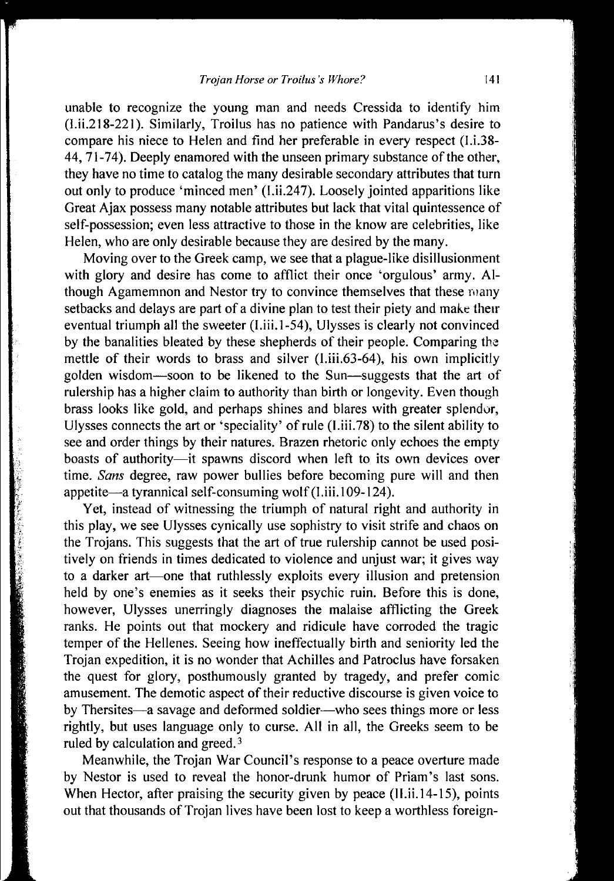unable to recognize the young man and needs Cressida to identify him (1.ii.218-221 ). Similarly, Troilus has no patience with Pandarus's desire to compare his niece to Helen and find her preferable in every respect (l.i.38- 44, 71-74). Deeply enamored with the unseen primary substance of the other, they have no time to catalog the many desirable secondary attributes that turn out only to produce 'minced men' (l.ii.247). Loosely jointed apparitions like Great Ajax possess many notable attributes but lack that vital quintessence of self-possession; even less attractive to those in the know are celebrities, like Helen, who are only desirable because they are desired by the many.

Moving over to the Greek camp, we see that a plague-like disillusionment with glory and desire has come to afflict their once 'orgulous' army. Although Agamemnon and Nestor try to convince themselves that these many setbacks and delays are part of a divine plan to test their piety and make their eventual triumph all the sweeter (l.iii.1-54), Ulysses is clearly not convinced by the banalities bleated by these shepherds of their people. Comparing the mettle of their words to brass and silver (I.iii.63-64), his own implicitly golden wisdom-soon to be likened to the Sun-suggests that the art of rulership has a higher claim to authority than birth or longevity. Even though brass looks like gold, and perhaps shines and blares with greater splendor, Ulysses connects the art or 'speciality' of rule (1.iii.78) to the silent ability to see and order things by their natures. Brazen rhetoric only echoes the empty boasts of authority-it spawns discord when left to its own devices over time. *Sans* degree, raw power bullies before becoming pure will and then appetite—a tyrannical self-consuming wolf (I.iii.109-124).

Yet, instead of witnessing the triumph of natural right and authority in this play, we see Ulysses cynically use sophistry to visit strife and chaos on the Trojans. This suggests that the art of true rulership cannot be used positively on friends in times dedicated to violence and unjust war; it gives way to a darker art-one that ruthlessly exploits every illusion and pretension held by one's enemies as it seeks their psychic ruin. Before this is done, however, Ulysses unerringly diagnoses the malaise afflicting the Greek ranks. He points out that mockery and ridicule have corroded the tragic temper of the Hellenes. Seeing how ineffectually birth and seniority led the Trojan expedition, it is no wonder that Achilles and Patroclus have forsaken the quest for glory, posthumously granted by tragedy, and prefer comic amusement. The demotic aspect of their reductive discourse is given voice to by Thersites—a savage and deformed soldier—who sees things more or less rightly, but uses language only to curse. All in all, the Greeks seem to be ruled by calculation and greed.<sup>3</sup>

...<br>...<br>...

Meanwhile, the Trojan War Council's response to a peace overture made by Nestor is used to reveal the honor-drunk humor of Priam's last sons. When Hector, after praising the security given by peace (II.ii.14-15), points out that thousands of Trojan lives have been lost to keep a worthless foreign-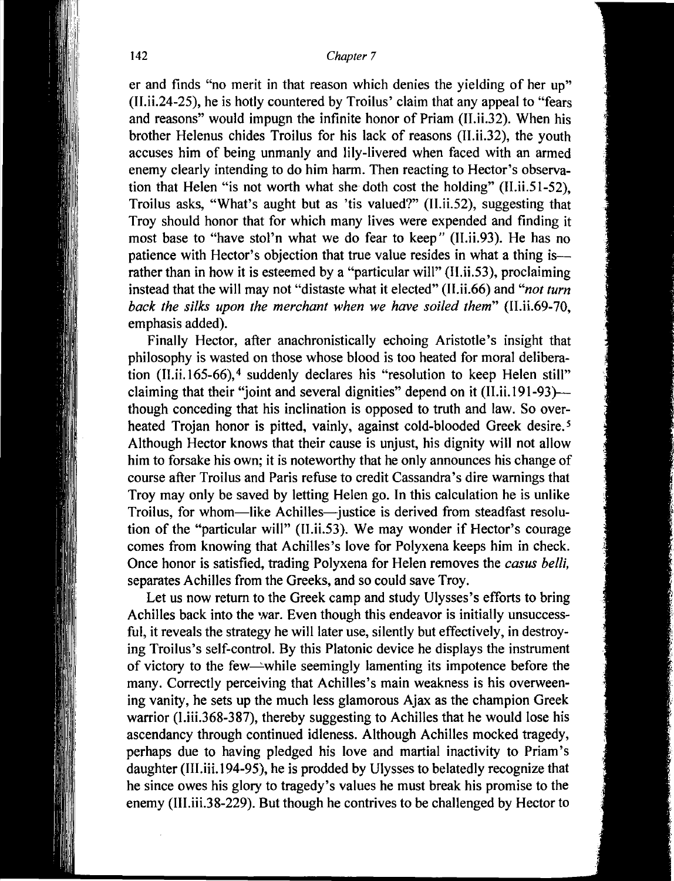er and finds "no merit in that reason which denies the yielding of her up" (II.ii.24-25), he is hotly countered by Troilus' claim that any appeal to "fears and reasons" would impugn the infinite honor of Priam (II.ii.32). When his brother Helenus chides Troilus for his lack of reasons (II.ii.32), the youth accuses him of being unmanly and lily-livered when faced with an armed enemy clearly intending to do him harm. Then reacting to Hector's observation that Helen "is not worth what she doth cost the holding" (ILii.51-52) Troilus asks, "What's aught but as 'tis valued?" (Il.ii.52), suggesting that Troy should honor that for which many lives were expended and finding it most base to "have stol'n what we do fear to keep" (II.ii.93). He has no patience with Hector's objection that true value resides in what a thing israther than in how it is esteemed by a "particular will" (II.ii.53), proclaiming instead that the will may not "distaste what it elected" (11.ii.66) and *"not turn back the silks upon the merchant when we have soiled them"* (ll.ii.69-70, emphasis added).

Finally Hector, after anachronistically echoing Aristotle's insight that philosophy is wasted on those whose blood is too heated for moral deliberation (II.ii.165-66),<sup>4</sup> suddenly declares his "resolution to keep Helen still" claiming that their "joint and several dignities" depend on it  $(II.ii.191-93)$ -though conceding that his inclination is opposed to truth and law. So overheated Trojan honor is pitted, vainly, against cold-blooded Greek desire.<sup>5</sup> Although Hector knows that their cause is unjust, his dignity will not allow him to forsake his own; it is noteworthy that he only announces his change of course after Troilus and Paris refuse to credit Cassandra's dire warnings that Troy may only be saved by letting Helen go. In this calculation he is unlike Troilus, for whom-like Achilles-justice is derived from steadfast resolution of the "particular will" (II.ii.53). We may wonder if Hector's courage comes from knowing that Achilles's love for Polyxena keeps him in check. Once honor is satisfied, trading Polyxena for Helen removes the *casus be/Ii,*  separates Achilles from the Greeks, and so could save Troy.

Let us now return to the Greek camp and study Ulysses's efforts to bring Achilles back into the war. Even though this endeavor is initially unsuccessful, it reveals the strategy he will later use, silently but effectively, in destroying Troilus's self-control. By this Platonic device he displays the instrument of victory to the few-=while seemingly lamenting its impotence before the many. Correctly perceiving that Achilles's main weakness is his overweening vanity, he sets up the much less glamorous Ajax as the champion Greek warrior (1.iii.368-387), thereby suggesting to Achilles that he would lose his ascendancy through continued idleness. Although Achilles mocked tragedy, perhaps due to having pledged his love and martial inactivity to Priam's daughter (III.iii.194-95), he is prodded by Ulysses to belatedly recognize that he since owes his glory to tragedy's values he must break his promise to the enemy (III.iii.38-229). But though he contrives to be challenged by Hector to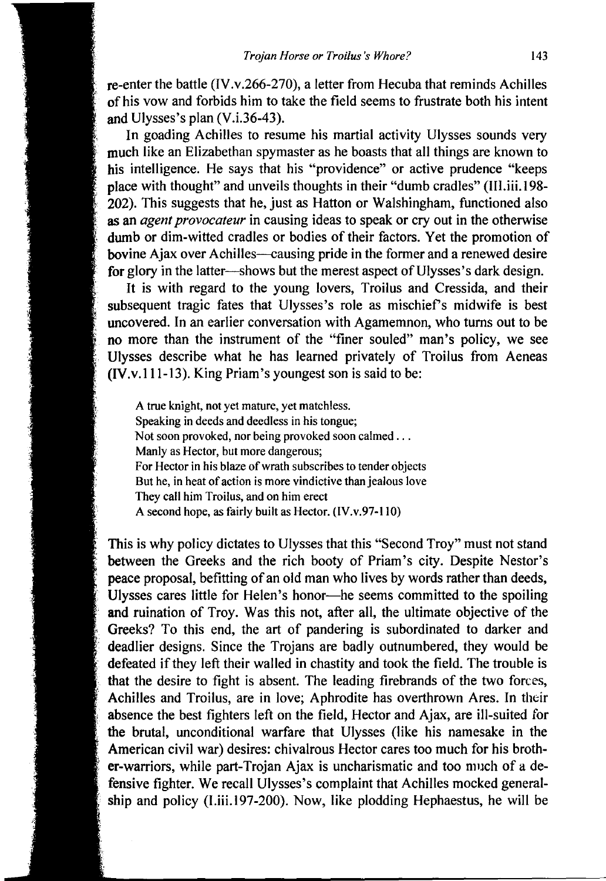re-enter the battle (IV.v.266-270), a letter from Hecuba that reminds Achilles of his vow and forbids him to take the field seems to frustrate both his intent and Ulysses's plan (V.i.36-43).

In goading Achilles to resume his martial activity Ulysses sounds very much like an Elizabethan spymaster as he boasts that all things are known to his intelligence. He says that his "providence" or active prudence "keeps place with thought" and unveils thoughts in their "dumb cradles" (III.iii.198- 202). This suggests that he, just as Hatton or Walshingham, functioned also as an *agent provocateur* in causing ideas to speak or cry out in the otherwise ' dumb or dim-witted cradles or bodies of their factors. Yet the promotion of bovine Ajax over Achilles—causing pride in the former and a renewed desire for glory in the latter-shows but the merest aspect of Ulysses's dark design.

It is with regard to the young lovers, Troilus and Cressida, and their subsequent tragic fates that Ulysses's role as mischief's midwife is best uncovered. In an earlier conversation with Agamemnon, who turns out to be no more than the instrument of the "finer souled" man's policy, we see Ulysses describe what he has learned privately of Troilus from Aeneas (IV.v.111-13). King Priam's youngest son is said to be:

A true knight, not yet mature, yet matchless. Speaking in deeds and deedless in his tongue; Not soon provoked, nor being provoked soon calmed ... Manly as Hector, but more dangerous; For Hector in his blaze of wrath subscribes to tender objects But he, in heat of action is more vindictive than jealous love They call him Troilus, and on him erect A second hope, as fairly built as Hector. (IV.v.97-110)

This is why policy dictates to Ulysses that this "Second Troy" must not stand between the Greeks and the rich booty of Priam's city. Despite Nestor's peace proposal, befitting of an old man who lives by words rather than deeds, Ulysses cares little for Helen's honor-he seems committed to the spoiling and ruination of Troy. Was this not, after all, the ultimate objective of the Greeks? To this end, the art of pandering is subordinated to darker and deadlier designs. Since the Trojans are badly outnumbered, they would be defeated if they left their walled in chastity and took the field. The trouble is that the desire to fight is absent. The leading firebrands of the two forces, Achilles and Troilus, are in love; Aphrodite has overthrown Ares. In their absence the best fighters left on the field, Hector and Ajax, are ill-suited for the brutal, unconditional warfare that Ulysses (like his namesake in the American civil war) desires: chivalrous Hector cares too much for his brother-warriors, while part-Trojan Ajax is uncharismatic and too much of a defensive fighter. We recall Ulysses's complaint that Achilles mocked generalship and policy (1.iii.197-200). Now, like plodding Hephaestus, he will be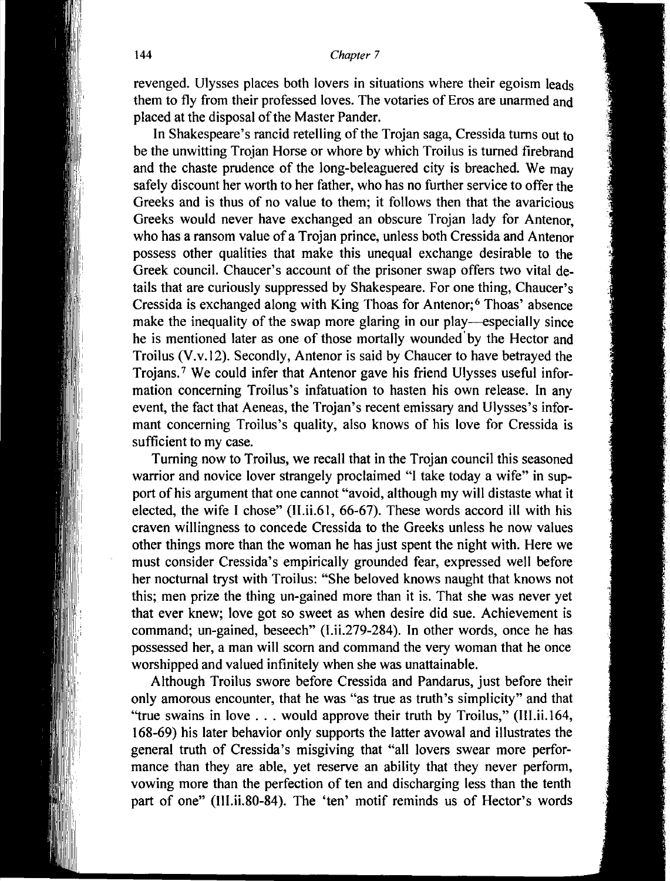revenged. Ulysses places both lovers in situations where their egoism leads them to fly from their professed loves. The votaries of Eros are unarmed and placed at the disposal of the Master Pander.

In Shakespeare's rancid retelling of the Trojan saga, Cressida turns out to be the unwitting Trojan Horse or whore by which Troilus is turned firebrand and the chaste prudence of the long-beleaguered city is breached. We may safely discount her worth to her father, who has no further service to offer the Greeks and is thus of no value to them; it follows then that the avaricious Greeks would never have exchanged an obscure Trojan lady for Antenor, who has a ransom value of a Trojan prince, unless both Cressida and Antenor possess other qualities that make this unequal exchange desirable to the Greek council. Chaucer's account of the prisoner swap offers two vital details that are curiously suppressed by Shakespeare. For one thing, Chaucer's Cressida is exchanged along with King Thoas for Antenor; 6 Thoas' absence make the inequality of the swap more glaring in our play—especially since he is mentioned later as one of those mortally wounded by the Hector and Troilus (V.v.12). Secondly, Antenor is said by Chaucer to have betrayed the Trojans.<sup>7</sup> We could infer that Antenor gave his friend Ulysses useful information concerning Troilus's infatuation to hasten his own release. In any event, the fact that Aeneas, the Trojan's recent emissary and Ulysses's informant concerning Troilus's quality, also knows of his Jove for Cressida is sufficient to my case.

Turning now to Troilus, we recall that in the Trojan council this seasoned warrior and novice lover strangely proclaimed "I take today a wife" in support of his argument that one cannot "avoid, although my will distaste what it elected, the wife I chose" (11.ii.61, 66-67). These words accord ill with his craven willingness to concede Cressida to the Greeks unless he now values other things more than the woman he has just spent the night with. Here we must consider Cressida's empirically grounded fear, expressed well before her nocturnal tryst with Troilus: "She beloved knows naught that knows not this; men prize the thing un-gained more than it is. That she was never yet that ever knew; love got so sweet as when desire did sue. Achievement is command; un-gained, beseech" (I.ii.279-284). In other words, once he has possessed her, a man will scorn and command the very woman that he once worshipped and valued infinitely when she was unattainable.

Although Troilus swore before Cressida and Pandarus, just before their only amorous encounter, that he was "as true as truth's simplicity" and that "true swains in love ... would approve their truth by Troilus," (111.ii.164, 168-69) his later behavior only supports the latter avowal and illustrates the general truth of Cressida's misgiving that "all lovers swear more performance than they are able, yet reserve an ability that they never perform, vowing more than the perfection of ten and discharging less than the tenth part of one" (IIl.ii.80-84). The 'ten' motif reminds us of Hector's words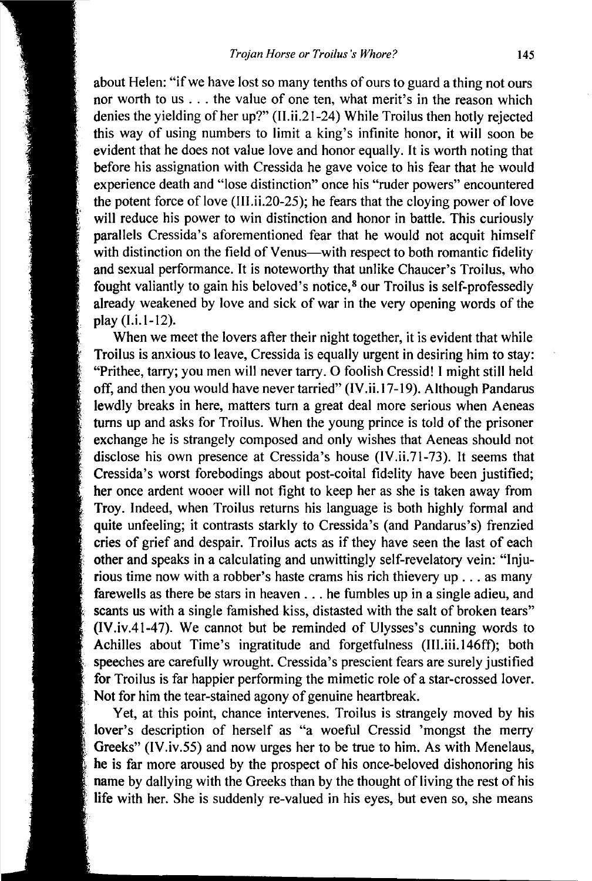about Helen: "if we have lost so many tenths of ours to guard a thing not ours nor worth to us ... the value of one ten, what merit's in the reason which denies the yielding of her up?" (Il.ii.21-24) While Troilus then hotly rejected ' this way of using numbers to limit a king's infinite honor, it will soon be evident that he does not value love and honor equally. It is worth noting that before his assignation with Cressida he gave voice to his fear that he would experience death and "lose distinction" once his "ruder powers" encountered the potent force of love (III.ii.20-25); he fears that the cloying power of love will reduce his power to win distinction and honor in battle. This curiously parallels Cressida's aforementioned fear that he would not acquit himself with distinction on the field of Venus—with respect to both romantic fidelity and sexual performance. It is noteworthy that unlike Chaucer's Troilus, who fought valiantly to gain his beloved's notice, 8 our Troilus is self-professedly already weakened by love and sick of war in the very opening words of the play (1.i.l-12).

When we meet the lovers after their night together, it is evident that while Troilus is anxious to leave, Cressida is equally urgent in desiring him to stay: "Prithee, tarry; you men will never tarry. 0 foolish Cressid! I might still held off, and then you would have never tarried" (IV.ii.17-19). Although Pandarus lewdly breaks in here, matters tum a great deal more serious when Aeneas turns up and asks for Troilus. When the young prince is told of the prisoner exchange he is strangely composed and only wishes that Aeneas should not disclose his own presence at Cressida's house (IV.ii.71-73). It seems that Cressida's worst forebodings about post-coital fidelity have been justified; her once ardent wooer will not fight to keep her as she is taken away from Troy. Indeed, when Troilus returns his language is both highly formal and quite unfeeling; it contrasts starkly to Cressida's (and Pandarus's) frenzied cries of grief and despair. Troilus acts as if they have seen the last of each other and speaks in a calculating and unwittingly self-revelatory vein: "Injurious time now with a robber's haste crams his rich thievery up ... as many farewells as there be stars in heaven ... he fumbles up in a single adieu, and scants us with a single famished kiss, distasted with the salt of broken tears" {IV.iv.41-47). We cannot but be reminded of Ulysses's cunning words to Achilles about Time's ingratitude and forgetfulness (IIl.iii.l46ft); both speeches are carefully wrought. Cressida's prescient fears are surely justified for Troilus is far happier performing the mimetic role of a star-crossed lover. Not for him the tear-stained agony of genuine heartbreak.

Yet, at this point, chance intervenes. Troilus is strangely moved by his lover's description of herself as "a woeful Cressid 'mongst the merry Greeks" (IV.iv.55) and now urges her to be true to him. As with Menelaus, he is far more aroused by the prospect of his once-beloved dishonoring his name by dallying with the Greeks than by the thought of living the rest of his life with her. She is suddenly re-valued in his eyes, but even so, she means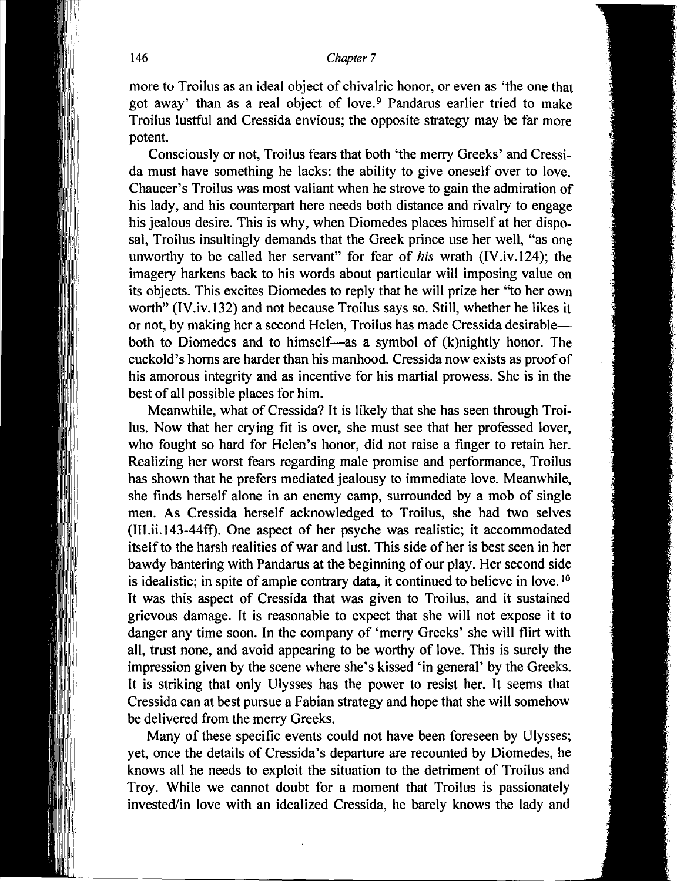more to Troilus as an ideal object of chivalric honor, or even as 'the one that got away' than as a real object of love. 9 Pandarus earlier tried to make Troilus lustful and Cressida envious; the opposite strategy may be far more potent.

Consciously or not, Troilus fears that both 'the merry Greeks' and Cressida must have something he lacks: the ability to give oneself over to love. Chaucer's Troilus was most valiant when he strove to gain the admiration of his lady, and his counterpart here needs both distance and rivalry to engage his jealous desire. This is why, when Diomedes places himself at her disposal, Troilus insultingly demands that the Greek prince use her well, "as one unworthy to be called her servant" for fear of *his* wrath (IV.iv.124); the imagery harkens back to his words about particular will imposing value on its objects. This excites Diomedes to reply that he will prize her ''to her own worth" (IV.iv.132) and not because Troilus says so. Still, whether he likes it or not, by making her a second Helen, Troilus has made Cressida desirableboth to Diomedes and to himself—as a symbol of (k)nightly honor. The cuckold's horns are harder than his manhood. Cressida now exists as proof of his amorous integrity and as incentive for his martial prowess. She is in the best of all possible places for him.

Meanwhile, what of Cressida? It is likely that she has seen through Troilus. Now that her crying fit is over, she must see that her professed lover, who fought so hard for Helen's honor, did not raise a finger to retain her. Realizing her worst fears regarding male promise and performance, Troilus has shown that he prefers mediated jealousy to immediate love. Meanwhile, she finds herself alone in an enemy camp, surrounded by a mob of single men. As Cressida herself acknowledged to Troilus, she had two selves (III.ii.143-44ff). One aspect of her psyche was realistic; it accommodated itself to the harsh realities of war and lust. This side of her is best seen in her bawdy bantering with Pandarus at the beginning of our play. Her second side is idealistic; in spite of ample contrary data, it continued to believe in love. <sup>10</sup> It was this aspect of Cressida that was given to Troilus, and it sustained grievous damage. It is reasonable to expect that she will not expose it to danger any time soon. In the company of 'merry Greeks' she will flirt with all, trust none, and avoid appearing to be worthy of love. This is surely the impression given by the scene where she's kissed 'in general' by the Greeks. It is striking that only Ulysses has the power to resist her. It seems that Cressida can at best pursue a Fabian strategy and hope that she will somehow be delivered from the merry Greeks.

Many of these specific events could not have been foreseen by Ulysses; yet, once the details of Cressida's departure are recounted by Diomedes, he knows all he needs to exploit the situation to the detriment of Troilus and Troy. While we cannot doubt for a moment that Troilus is passionately invested/in love with an idealized Cressida, he barely knows the lady and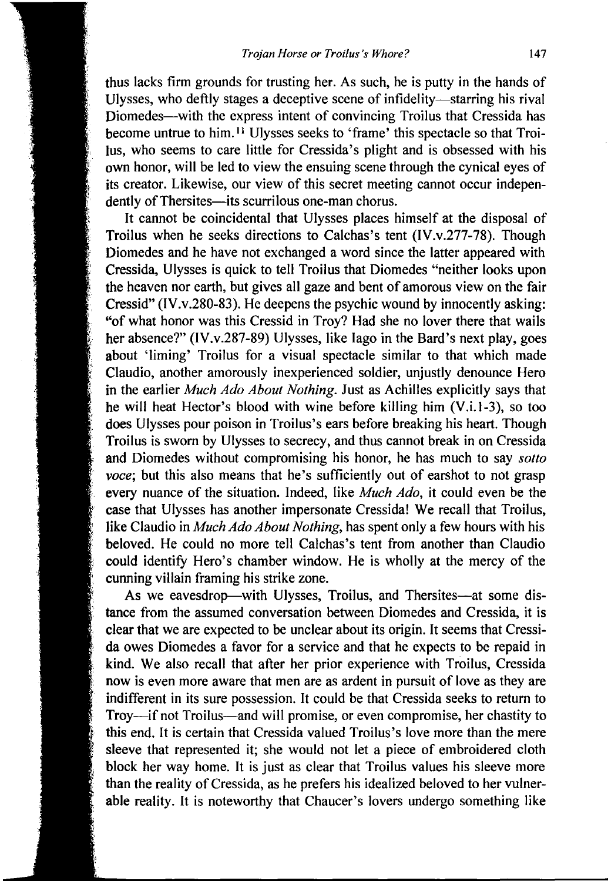thus lacks firm grounds for trusting her. As such, he is putty in the hands of Ulysses, who deftly stages a deceptive scene of infidelity-starring his rival Diomedes-with the express intent of convincing Troilus that Cressida has become untrue to him.<sup>11</sup> Ulysses seeks to 'frame' this spectacle so that Troi-Ius, who seems to care little for Cressida's plight and is obsessed with his own honor, will be led to view the ensuing scene through the cynical eyes of its creator. Likewise, our view of this secret meeting cannot occur independently of Thersites-its scurrilous one-man chorus.

It cannot be coincidental that Ulysses places himself at the disposal of Troilus when he seeks directions to Calchas's tent (IV.v.277-78). Though Diomedes and he have not exchanged a word since the latter appeared with ' Cressida, Ulysses is quick to tell Troilus that Diomedes "neither looks upon the heaven nor earth, but gives all gaze and bent of amorous view on the fair Cressid" (IV.v.280-83). He deepens the psychic wound by innocently asking: "of what honor was this Cressid in Troy? Had she no lover there that wails her absence?" (IV.v.287-89) Ulysses, like Iago in the Bard's next play, goes about 'liming' Troilus for a visual spectacle similar to that which made Claudio, another amorously inexperienced soldier, unjustly denounce Hero in the earlier *Much Ado About Nothing.* Just as Achilles explicitly says that he will heat Hector's blood with wine before killing him (V.i.l-3), so too does Ulysses pour poison in Troilus's ears before breaking his heart. Though Troilus is sworn by Ulysses to secrecy, and thus cannot break in on Cressida and Diomedes without compromising his honor, he has much to say *sotto voce*; but this also means that he's sufficiently out of earshot to not grasp : every nuance of the situation. Indeed, like *Much Ado,* it could even be the case that Ulysses has another impersonate Cressida! We recall that Troilus, like Claudio in *Much Ado About Nothing,* has spent only a few hours with his beloved. He could no more tell Calchas's tent from another than Claudio could identify Hero's chamber window. He is wholly at the mercy of the cunning villain framing his strike zone.

As we eavesdrop—with Ulysses, Troilus, and Thersites—at some distance from the assumed conversation between Diomedes and Cressida, it is clear that we are expected to be unclear about its origin. It seems that Cressida owes Diomedes a favor for a service and that he expects to be repaid in kind. We also recall that after her prior experience with Troilus, Cressida now is even more aware that men are as ardent in pursuit of love as they are indifferent in its sure possession. It could be that Cressida seeks to return to Troy—if not Troilus—and will promise, or even compromise, her chastity to this end. It is certain that Cressida valued Troilus's love more than the mere sleeve that represented it; she would not let a piece of embroidered cloth block her way home. It is just as clear that Troilus values his sleeve more than the reality of Cressida, as he prefers his idealized beloved to her vulnerable reality. It is noteworthy that Chaucer's lovers undergo something like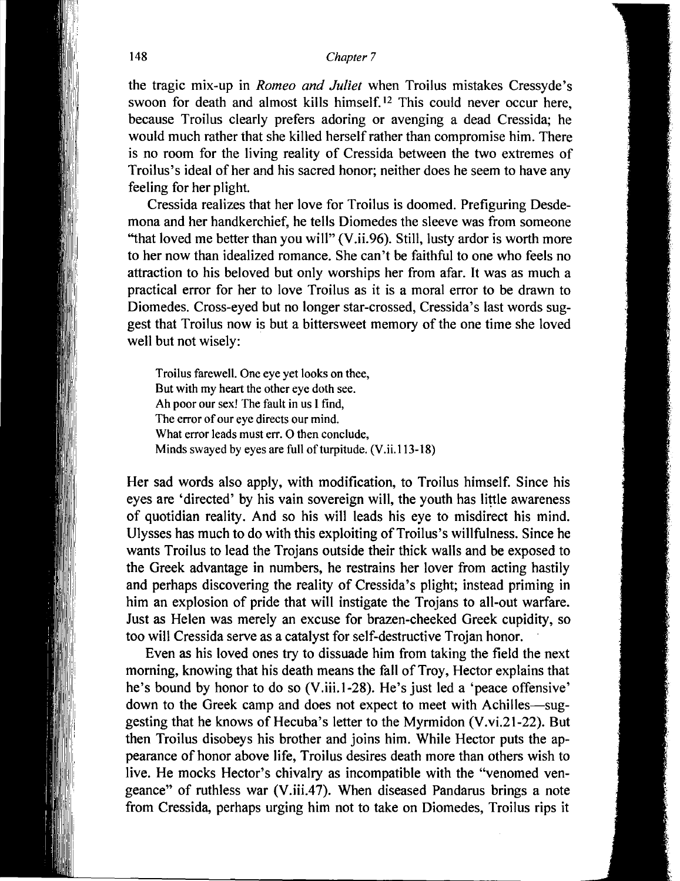the tragic mix-up in *Romeo and Juliet* when Troilus mistakes Cressyde's swoon for death and almost kills himself.<sup>12</sup> This could never occur here, because Troilus clearly prefers adoring or avenging a dead Cressida; he would much rather that she killed herself rather than compromise him. There is no room for the living reality of Cressida between the two extremes of Troilus's ideal of her and his sacred honor; neither does he seem to have any feeling for her plight.

Cressida realizes that her love for Troilus is doomed. Prefiguring Desdemona and her handkerchief, he tells Diomedes the sleeve was from someone "that loved me better than you will" (V.ii.96). Still, lusty ardor is worth more to her now than idealized romance. She can't be faithful to one who feels no attraction to his beloved but only worships her from afar. It was as much a practical error for her to love Troilus as it is a moral error to be drawn to Diomedes. Cross-eyed but no longer star-crossed, Cressida's last words suggest that Troilus now is but a bittersweet memory of the one time she loved well but not wisely:

Troilus farewell. One eye yet looks on thee, But with my heart the other eye doth see. Ah poor our sex! The fault in us I find, The error of our eye directs our mind. What error leads must err. O then conclude, Minds swayed by eyes are full of turpitude. (V.ii.113-18)

Her sad words also apply, with modification, to Troilus himself. Since his eyes are 'directed' by his vain sovereign will, the youth has little awareness of quotidian reality. And so his will leads his eye to misdirect his mind. Ulysses has much to do with this exploiting of Troilus's willfulness. Since he wants Troilus to lead the Trojans outside their thick walls and be exposed to the Greek advantage in numbers, he restrains her lover from acting hastily and perhaps discovering the reality of Cressida's plight; instead priming in him an explosion of pride that will instigate the Trojans to all-out warfare. Just as Helen was merely an excuse for brazen-cheeked Greek cupidity, so too will Cressida serve as a catalyst for self-destructive Trojan honor.

Even as his loved ones try to dissuade him from taking the field the next morning, knowing that his death means the fall of Troy, Hector explains that he's bound by honor to do so (V.iii.1-28). He's just led a 'peace offensive' down to the Greek camp and does not expect to meet with Achilles-suggesting that he knows of Hecuba's letter to the Myrmidon (V.vi.21-22). But then Troilus disobeys his brother and joins him. While Hector puts the appearance of honor above life, Troilus desires death more than others wish to live. He mocks Hector's chivalry as incompatible with the "venomed vengeance" of ruthless war (V.iii.47). When diseased Pandarus brings a note from Cressida, perhaps urging him not to take on Diomedes, Troilus rips it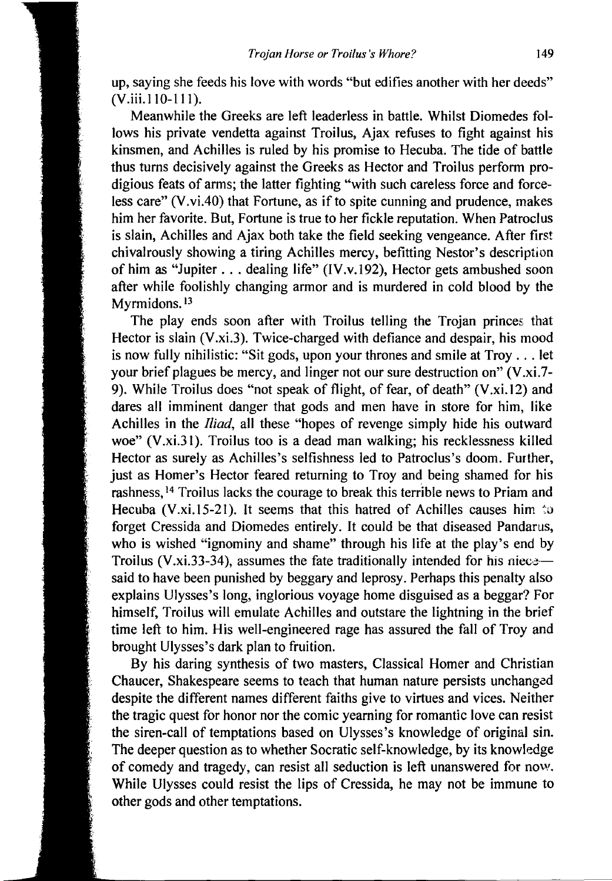up, saying she feeds his love with words "but edifies another with her deeds" (V.iii.110-111).

Meanwhile the Greeks are left leaderless in battle. Whilst Diomedes follows his private vendetta against Troilus, Ajax refuses to fight against his kinsmen, and Achilles is ruled by his promise to Hecuba. The tide of battle thus turns decisively against the Greeks as Hector and Troilus perform prodigious feats of arms; the latter fighting "with such careless force and forceless care" (V.vi.40) that Fortune, as if to spite cunning and prudence, makes him her favorite. But, Fortune is true to her fickle reputation. When Patroclus is slain, Achilles and Ajax both take the field seeking vengeance. After first chivalrously showing a tiring Achilles mercy, befitting Nestor's description of him as "Jupiter ... dealing life" (IV.v.192), Hector gets ambushed soon after while foolishly changing armor and is murdered in cold blood by the Myrmidons.<sup>13</sup>

The play ends soon after with Troilus telling the Trojan princes that Hector is slain (V.xi.3). Twice-charged with defiance and despair, his mood is now fully nihilistic: "Sit gods, upon your thrones and smile at Troy ... let your brief plagues be mercy, and linger not our sure destruction on" (V.xi.7- 9). While Troilus does "not speak of flight, of fear, of death" (V.xi.12) and dares all imminent danger that gods and men have in store for him, like Achilles in the *Iliad,* all these "hopes of revenge simply hide his outward woe" (V.xi.31). Troilus too is a dead man walking; his recklessness killed Hector as surely as Achilles's selfishness led to Patroclus's doom. Further, just as Homer's Hector feared returning to Troy and being shamed for his rashness, 14 Troilus lacks the courage to break this terrible news to Priam and Hecuba (V.xi.15-21). It seems that this hatred of Achilles causes him to forget Cressida and Diomedes entirely. It could be that diseased Pandarus, who is wished "ignominy and shame" through his life at the play's end by Troilus (V.xi.33-34), assumes the fate traditionally intended for his niece said to have been punished by beggary and leprosy. Perhaps this penalty also explains Ulysses's long, inglorious voyage home disguised as a beggar? For himself, Troilus will emulate Achilles and outstare the lightning in the brief time left to him. His well-engineered rage has assured the fall of Troy and brought Ulysses's dark plan to fruition.

By his daring synthesis of two masters, Classical Homer and Christian Chaucer, Shakespeare seems to teach that human nature persists unchanged despite the different names different faiths give to virtues and vices. Neither the tragic quest for honor nor the comic yearning for romantic love can resist the siren-call of temptations based on Ulysses's knowledge of original sin. The deeper question as to whether Socratic self-knowledge, by its knowledge of comedy and tragedy, can resist all seduction is left unanswered for now. While Ulysses could resist the lips of Cressida, he may not be immune to other gods and other temptations.